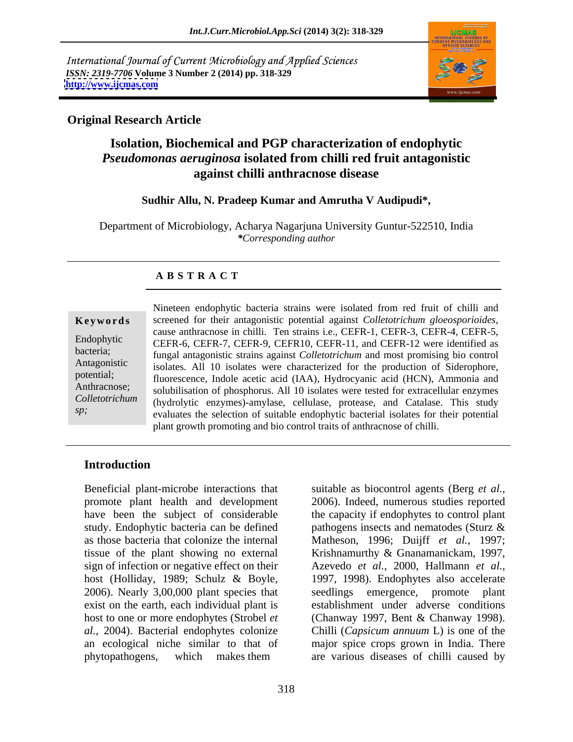International Journal of Current Microbiology and Applied Sciences *ISSN: 2319-7706* **Volume 3 Number 2 (2014) pp. 318-329 <http://www.ijcmas.com>**



## **Original Research Article**

## **Isolation, Biochemical and PGP characterization of endophytic**  *Pseudomonas aeruginosa* **isolated from chilli red fruit antagonistic against chilli anthracnose disease**

### **Sudhir Allu, N. Pradeep Kumar and Amrutha V Audipudi\*,**

Department of Microbiology, Acharya Nagarjuna University Guntur-522510, India *\*Corresponding author*

## **A B S T R A C T**

**Ke ywo rds** screened for their antagonistic potential against *Colletotrichum gloeosporioides,* Endophytic CEFR-6, CEFR-7, CEFR-9, CEFR10, CEFR-11, and CEFR-12 were identified as bacteria;<br>
fungal antagonistic strains against *Colletotrichum* and most promising bio control Antagonistic isolates. All 10 isolates were characterized for the production of Siderophore, potential;<br>
fluorescence, Indole acetic acid (IAA), Hydrocyanic acid (HCN), Ammonia and Anthracnose;<br>
solubilisation of phosphorus. All 10 isolates were tested for extracellular enzymes *Colletotrichum*  (hydrolytic enzymes)-amylase, cellulase, protease, and Catalase. This study *sp*;<br>
evaluates the selection of suitable endophytic bacterial isolates for their potential Nineteen endophytic bacteria strains were isolated from red fruit of chilli and cause anthracnose in chilli. Ten strains i.e., CEFR-1, CEFR-3, CEFR-4, CEFR-5, plant growth promoting and bio control traits of anthracnose of chilli.

## **Introduction**

Beneficial plant-microbe interactions that suitable as biocontrol agents (Berg *et al.*, promote plant health and development 2006). Indeed, numerous studies reported sign of infection or negative effect on their Azevedo et al., 2000, Hallmann et al., host (Holliday, 1989; Schulz & Boyle, 1997, 1998). Endophytes also accelerate 2006). Nearly 3,00,000 plant species that seedlings emergence, promote plant phytopathogens, which makes them are various diseases of chilli caused by

have been the subject of considerable the capacity if endophytes to control plant study. Endophytic bacteria can be defined pathogens insects and nematodes (Sturz & as those bacteria that colonize the internal Matheson,1996; Duijff *et al.*, 1997; tissue of the plant showing no external Krishnamurthy & Gnanamanickam, 1997, exist on the earth, each individual plant is establishment under adverse conditions host to one or more endophytes (Strobel *et*  (Chanway 1997, Bent & Chanway 1998). *al.*, 2004). Bacterial endophytes colonize Chilli (*Capsicum annuum* L) is one of the an ecological niche similar to that of major spice crops grown in India. There suitable as biocontrol agents (Berg *et al.*, 2006). Indeed, numerous studies reported Azevedo *et al.*, 2000, Hallmann *et al.*, 1997, 1998). Endophytes also accelerate seedlings emergence, promote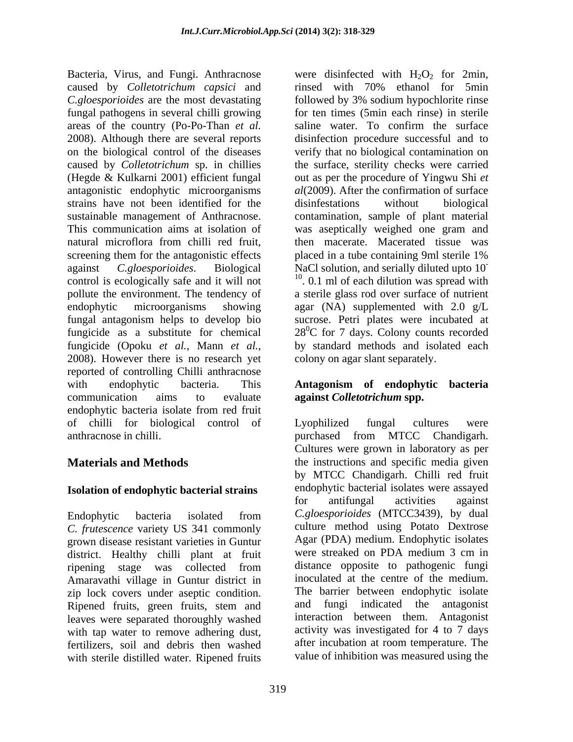Bacteria, Virus, and Fungi. Anthracnose were disinfected with  $H_2O_2$  for 2min, caused by *Colletotrichum capsici* and *C.gloesporioides* are the most devastating followed by 3% sodium hypochlorite rinse fungal pathogens in several chilli growing for ten times (5min each rinse) in sterile areas of the country (Po-Po-Than *et al.* 2008). Although there are several reports disinfection procedure successful and to on the biological control of the diseases verify that no biological contamination on caused by *Colletotrichum* sp. in chillies the surface, sterility checks were carried (Hegde & Kulkarni 2001) efficient fungal out as per the procedure of Yingwu Shi *et*  antagonistic endophytic microorganisms *al*(2009). After the confirmation of surface strains have not been identified for the disinfestations without biological sustainable management of Anthracnose. contamination, sample of plant material This communication aims at isolation of was aseptically weighed one gram and natural microflora from chilli red fruit, screening them for the antagonistic effects served in a tube containing 9ml sterile 1% against *C.gloesporioides*. Biological NaCl solution, and serially diluted upto 10<sup>-</sup><br>control is esclopically sete and it will not control is ecologically safe and it will not . 0.1 ml of each dilution was spread with pollute the environment. The tendency of a sterile glass rod over surface of nutrient endophytic microorganisms showing agar (NA) supplemented with 2.0 g/L fungal antagonism helps to develop bio sucrose. Petri plates were incubated at fungicide as a substitute for chemical  $28^0C$  for 7 days. Colony counts recorded fungicide (Opoku *et al.*, Mann *et al.*, by standard methods and isolated each 2008). However there is no research yet colony on agar slant separately. reported of controlling Chilli anthracnose with endophytic bacteria. This **Antagonism of endophytic bacteria** communication aims to evaluate **against** *Colletotrichum* **spp.** endophytic bacteria isolate from red fruit of chilli for biological control of anthracnose in chilli.  $\qquad \qquad \text{purchased} \qquad \text{from} \quad \text{MTCC} \quad \text{Chandingarh.}$ 

*C. frutescence* variety US 341 commonly grown disease resistant varieties in Guntur<br>district Healthy chilli plant at fruit were streaked on PDA medium 3 cm in district. Healthy chilli plant at fruit ripening stage was collected from distance opposite to pathogenic fungi Amaravathi village in Guntur district in zip lock covers under aseptic condition. Ripened fruits, green fruits, stem and leaves were separated thoroughly washed with tap water to remove adhering dust, fertilizers, soil and debris then washed with sterile distilled water. Ripened fruits

rinsed with 70% ethanol for 5min saline water. To confirm the surface disinfestations without biological was aseptically weighed one gram and then macerate. Macerated tissue was placed in a tube containing 9ml sterile 1% by standard methods and isolated each colony on agar slant separately.

**Materials and Methods** the instructions and specific media given **Isolation of endophytic bacterial strains** endophytic bacterial isolates were assayed<br>for antifungal activities against Endophytic bacteria isolated from *C.gloesporioides* (MTCC3439), by dual Lyophilized fungal cultures were purchased from MTCC Chandigarh. Cultures were grown in laboratory as per by MTCC Chandigarh. Chilli red fruit endophytic bacterial isolates were assayed for antifungal activities against culture method using Potato Dextrose Agar (PDA) medium. Endophytic isolates were streaked on PDA medium 3 cm in distance opposite to pathogenic fungi inoculated at the centre of the medium. The barrier between endophytic isolate and fungi indicated the antagonist interaction between them. Antagonist activity was investigated for 4 to 7 days after incubation at room temperature. The value of inhibition was measured using the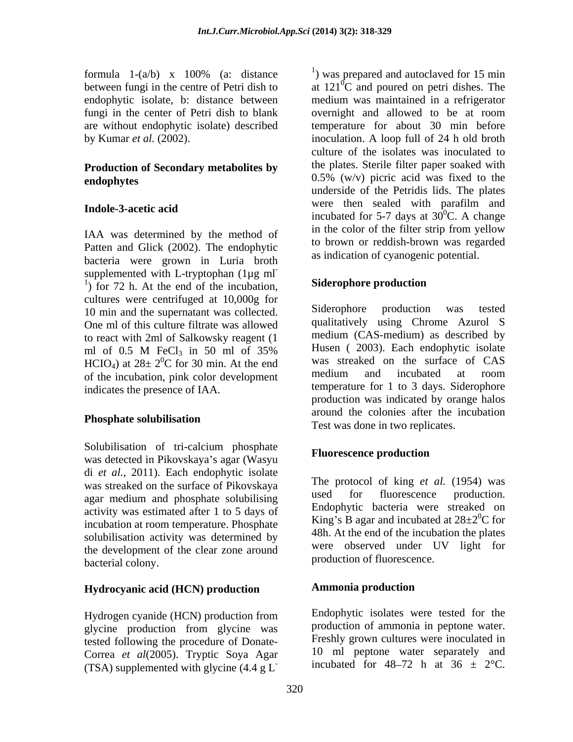fungi in the center of Petri dish to blank overnight and allowed to be at room

## **Production of Secondary metabolites by**

Patten and Glick (2002). The endophytic bacteria were grown in Luria broth supplemented with L-tryptophan  $(1\mu g \text{ ml}^{-1})$ <br> $\frac{1}{2}$  for 72 h, At the end of the incubation. Siderophore production  $\frac{1}{1}$  for 72 h. At the end of the incubation, Siderophore production cultures were centrifuged at 10,000g for<br>10 min and the supernatant was collected Siderophore production was tested 10 min and the supernatant was collected. One ml of this culture filtrate was allowed to react with 2ml of Salkowsky reagent (1  $\text{HClO}_4$ ) at  $28 \pm 2^0 \text{C}$  for 30 min. At the end<br>of the incubation pink color development medium and incubated at room of the incubation, pink color development

Solubilisation of tri-calcium phosphate<br>
Fluorescence production was detected in Pikovskaya's agar (Wasyu di *et al.*, 2011). Each endophytic isolate was streaked on the surface of Pikovskaya<br>next medium and phoenhete solubilising<br>used for fluorescence production. agar medium and phosphate solubilising activity was estimated after 1 to 5 days of incubation at room temperature. Phosphate solubilisation activity was determined by the development of the clear zone around bacterial colony.

## **Hydrocyanic acid (HCN) production**

Hydrogen cyanide (HCN) production from glycine production from glycine was tested following the procedure of Donate- Correa *et al*(2005). Tryptic Soya Agar (TSA) supplemented with glycine  $(4.4 \text{ g L}^{-})$ 

formula  $1-(a/b)$  x  $100\%$  (a: distance  $\qquad$ ) was prepared and autoclaved for 15 min between fungi in the centre of Petri dish to  $\qquad$  at  $121^{\circ}$ C and poured on petri dishes. The endophytic isolate, b: distance between medium was maintained in a refrigerator are without endophytic isolate) described temperature for about 30 min before by Kumar *et al.* (2002). inoculation. A loop full of 24 h old broth **endophytes**  $0.5\%$  (w/v) picric acid was fixed to the **Indole-3-acetic acid incubated for 5-7 days at 30<sup>0</sup>C. A change incubated** for 5-7 days at 30<sup>0</sup>C. A change IAA was determined by the method of in the color of the filter strip from yellow <sup>1</sup>) was prepared and autoclaved for 15 min overnight and allowed to be at room culture of the isolates was inoculated to the plates. Sterile filter paper soaked with underside of the Petridis lids. The plates were then sealed with parafilm and  ${}^{0}C$ . A change in the color of the filter strip from yellow to brown or reddish-brown was regarded as indication of cyanogenic potential.

### **Siderophore production**

ml of 0.5 M FeCl<sub>3</sub> in 50 ml of 35% Husen (2003). Each endophytic isolate  ${}^{0}$ C for 30 min. At the end was streaked on the surface of CAS indicates the presence of IAA. temperature for 1 to 3 days. Siderophore **Phosphate solubilisation** Siderophore production was tested qualitatively using Chrome Azurol S medium (CAS-medium) as described by Husen ( 2003). Each endophytic isolate was streaked on the surface of CAS medium and incubated at room production was indicated by orange halos around the colonies after the incubation Test was done in two replicates.

## **Fluorescence production**

The protocol of king *et al.* (1954) was used for fluorescence production. Endophytic bacteria were streaked on King's B agar and incubated at  $28\pm2\degree$ C for 48h. At the end of the incubation the plates were observed under UV light for production of fluorescence.

## **Ammonia production**

Endophytic isolates were tested for the production of ammonia in peptone water. Freshly grown cultures were inoculated in 10 ml peptone water separately and incubated for 48-72 h at 36  $\pm$  2°C.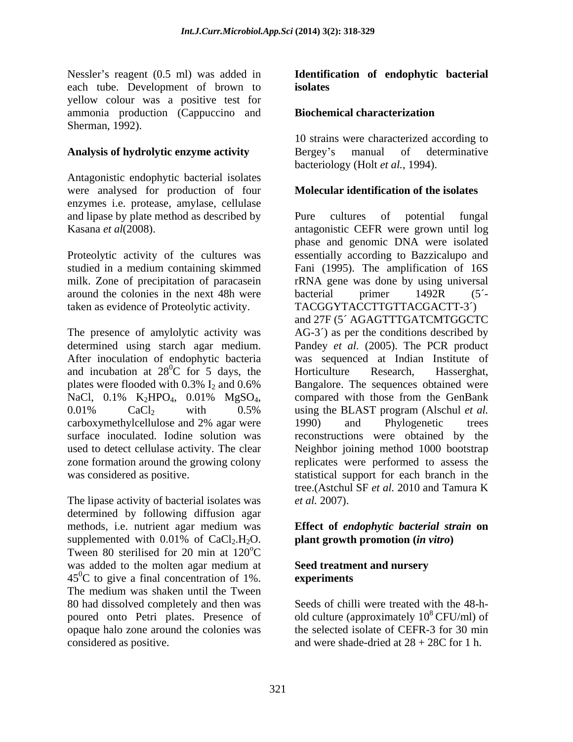Nessler's reagent (0.5 ml) was added in **Identification of endophytic bacterial** each tube. Development of brown to yellow colour was a positive test for ammonia production (Cappuccino and Sherman, 1992).

Antagonistic endophytic bacterial isolates were analysed for production of four enzymes i.e. protease, amylase, cellulase and lipase by plate method as described by Pure cultures of potential fungal

Proteolytic activity of the cultures was around the colonies in the next 48h were bacterial primer  $1492R$  (5<sup>2</sup>

After inoculation of endophytic bacteria and incubation at  $28^{\circ}$ C for 5 days, the Horticulture Research, Hasserghat,

The lipase activity of bacterial isolates was *et al.* 2007). determined by following diffusion agar methods, i.e. nutrient agar medium was **Effect of** *endophytic bacterial strain* **on**  supplemented with  $0.01\%$  of  $CaCl<sub>2</sub>H<sub>2</sub>O$ . **plant growth promotion** (*in vitro*) Tween 80 sterilised for 20 min at 120<sup>o</sup>C. oC was added to the molten agar medium at  $45^{\circ}$ C to give a final concentration of 1%. experiments The medium was shaken until the Tween 80 had dissolved completely and then was Seeds of chilli were treated with the 48-h poured onto Petri plates. Presence of opaque halo zone around the colonies was the selected isolate of CEFR-3 for 30 min

## **isolates**

## **Biochemical characterization**

Analysis of hydrolytic enzyme activity **Bergey's** manual of determinative 10 strains were characterized according to Bergey's manual of determinative bacteriology (Holt *et al.*, 1994).

### **Molecular identification of the isolates**

Kasana *et al*(2008). antagonistic CEFR were grown until log studied in a medium containing skimmed Fani (1995). The amplification of 16S milk. Zone of precipitation of paracasein TRNA gene was done by using universal taken as evidence of Proteolytic activity. TACGGYTACCTTGTTACGACTT-3´) The presence of amylolytic activity was AG-3´) as per the conditions described by determined using starch agar medium. Pandey *et al.* (2005). The PCR product  ${}^{0}C$  for 5 days, the Horticulture Research, Hasserghat, plates were flooded with  $0.3\%$   $I_2$  and  $0.6\%$  Bangalore. The sequences obtained were NaCl,  $0.1\%$  K<sub>2</sub>HPO<sub>4</sub>,  $0.01\%$  MgSO<sub>4</sub>, compared with those from the GenBank<br> $0.01\%$  CaCl<sub>2</sub> with 0.5% using the BLAST program (Alschul *et al.*) carboxymethylcellulose and 2% agar were surface inoculated. Iodine solution was reconstructions were obtained by the used to detect cellulase activity. The clear Neighbor joining method 1000 bootstrap zone formation around the growing colony replicates were performed to assess the was considered as positive. The statistical support for each branch in the Pure cultures of potential fungal phase and genomic DNA were isolated essentially according to Bazzicalupo and bacterial primer 1492R (5´ and 27F (5´ AGAGTTTGATCMTGGCTC was sequenced at Indian Institute of Horticulture Research, Hasserghat, compared with those from the GenBank using the BLAST program (Alschul *et al.* 1990) and Phylogenetic trees tree.(Astchul SF *et al.* 2010 and Tamura K *et al.* 2007).

## **plant growth promotion (***in vitro***)**

### **Seed treatment and nursery experiments**

considered as positive. and were shade-dried at 28 + 28C for 1 h. old culture (approximately  $10^8$  CFU/ml) of <sup>8</sup> CFU/ml) of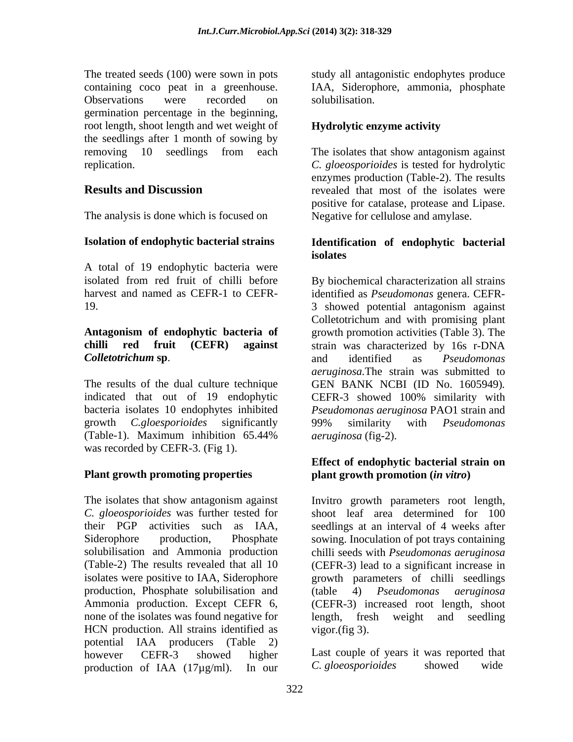The treated seeds (100) were sown in pots study all antagonistic endophytes produce containing coco peat in a greenhouse. IAA, Siderophore, ammonia, phosphate Observations were recorded on solubilisation. germination percentage in the beginning, root length, shoot length and wet weight of **Hydrolytic enzyme activity** the seedlings after 1 month of sowing by removing 10 seedlings from each The isolates that show antagonism against replication. *C. gloeosporioides* is tested for hydrolytic

A total of 19 endophytic bacteria were

# *Colletotrichum* **sp**.

indicated that out of 19 endophytic CEFR-3 showed 100% similarity with was recorded by CEFR-3. (Fig 1).

### **Plant growth promoting properties**

The isolates that show antagonism against Invitro growth parameters root length, *C. gloeosporioides* was further tested for shoot leaf area determined for 100 their PGP activities such as IAA, seedlings at an interval of 4 weeks after Siderophore production, Phosphate sowing. Inoculation of pot trays containing solubilisation and Ammonia production chilli seeds with *Pseudomonas aeruginosa* (Table-2) The results revealed that all 10 (CEFR-3) lead to a significant increase in isolates were positive to IAA, Siderophore growth parameters of chilli seedlings production, Phosphate solubilisation and (table 4) *Pseudomonas aeruginosa*<br>Ammonia production. Except CEFR 6, (CEFR-3) increased root length, shoot Ammonia production. Except CEFR 6, (CEFR-3) increased root length, shoot none of the isolates was found negative for length, fresh weight and seedling HCN production. All strains identified as vigor (fig 3). potential IAA producers (Table 2) however CEFR-3 showed higher Last couple of years it was reported that production of IAA (17µg/ml). In our C. gloeosporioides showed wide

solubilisation.

### **Hydrolytic enzyme activity**

**Results and Discussion** revealed that most of the isolates were The analysis is done which is focused on Negative for cellulose and amylase. enzymes production (Table-2). The results positive for catalase, protease and Lipase.

### **Isolation of endophytic bacterial strains Identification of endophytic bacterial isolates**

isolated from red fruit of chilli before By biochemical characterization all strains harvest and named as CEFR-1 to CEFR- identified as *Pseudomonas* genera. CEFR- 19. 3 showed potential antagonism against **Antagonism of endophytic bacteria of** growth promotion activities (Table 3). The **chilli red fruit (CEFR) against** strain was characterized by 16s r-DNA The results of the dual culture technique GEN BANK NCBI (ID No. 1605949)*.* bacteria isolates 10 endophytes inhibited *Pseudomonas aeruginosa* PAO1 strain and growth *C.gloesporioides* significantly (Table-1). Maximum inhibition 65.44% *aeruginosa* (fig-2). Colletotrichum and with promising plant and identified as *Pseudomonas aeruginosa.*The strain was submitted to CEFR-3 showed 100% similarity with 99% similarity with *Pseudomonas aeruginosa* (fig-2).

### **Effect of endophytic bacterial strain on plant growth promotion (***in vitro***)**

(table 4) *Pseudomonas aeruginosa*  length, fresh weight and seedling vigor.(fig 3).

*C. gloeosporioides* showed wide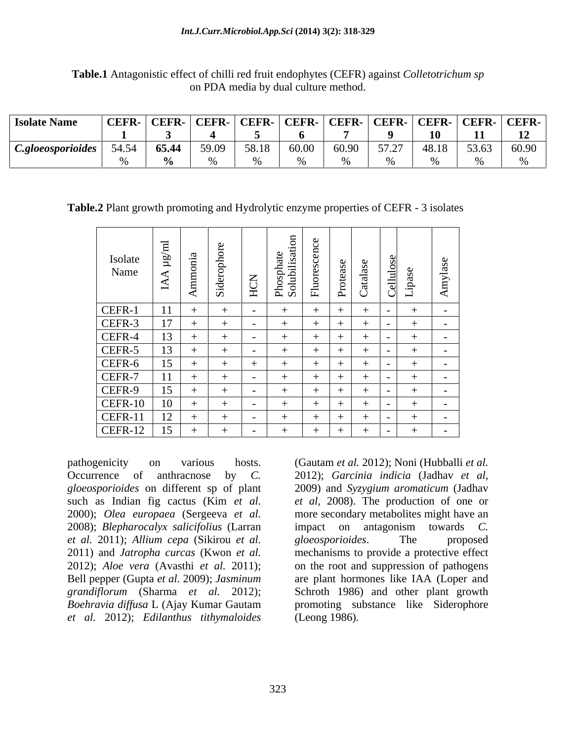| <b>Isolate Name</b> | CEFR-   CEFR-   CEFR-   CEFR-   CEFR-   CEFR-   CEFR-   CEFR-   CEFR-   CEFR-   CEFR- |               |  |         |                          |        |         |  |
|---------------------|---------------------------------------------------------------------------------------|---------------|--|---------|--------------------------|--------|---------|--|
|                     |                                                                                       |               |  |         |                          | 10     |         |  |
| C.gloeosporioides   | 51 51                                                                                 |               |  | 30.00 V | $\epsilon$ $\tau$ $\tau$ | 40 1 Q | - 60.90 |  |
|                     |                                                                                       | $\sim$ $\sim$ |  |         |                          |        |         |  |

**Table.1** Antagonistic effect of chilli red fruit endophytes (CEFR) against *Colletotrichum sp* on PDA media by dual culture method.

**Table.2** Plant growth promoting and Hydrolytic enzyme properties of CEFR - 3 isolates

| Isolate<br>Name                                                                                      | −<br>$\tilde{\mathbf{r}}$<br>$\overline{a}$ | $\mathfrak{a}$<br>Ammonia | - 친<br>Sid | $\overline{\phantom{0}}$<br>HC | Phosphate<br>Solubilisation | $\vec{E}$ | $\overline{\mathbf{d}}$<br>$\ddot{\circ}$<br>$\Delta$<br>◡ | ellulo:<br>-유<br>$\overline{\phantom{0}}$<br>ا ب | Amylas     |
|------------------------------------------------------------------------------------------------------|---------------------------------------------|---------------------------|------------|--------------------------------|-----------------------------|-----------|------------------------------------------------------------|--------------------------------------------------|------------|
|                                                                                                      |                                             |                           |            |                                |                             |           |                                                            |                                                  |            |
| CEFR-1<br>CEFR-3<br>CEFR-4<br>CEFR-5<br>CEFR-7<br>CEFR-7<br>CEFR-10<br>CEFR-11<br>CEFR-11<br>CEFR-11 |                                             |                           |            |                                |                             |           |                                                            |                                                  | $\sim$ $-$ |
|                                                                                                      |                                             |                           |            |                                |                             |           |                                                            |                                                  | $-$        |
|                                                                                                      | $\sim$                                      |                           |            |                                |                             |           |                                                            |                                                  | $\sim$     |
|                                                                                                      |                                             |                           |            | $\overline{\phantom{0}}$       |                             |           |                                                            |                                                  | $\sim$ $-$ |
|                                                                                                      |                                             |                           |            |                                |                             |           |                                                            |                                                  | $\sim$ $-$ |
|                                                                                                      |                                             |                           |            | $\overline{\phantom{0}}$       |                             |           |                                                            |                                                  | $\sim$ $-$ |
|                                                                                                      |                                             |                           |            |                                |                             |           |                                                            |                                                  | $\sim$     |
|                                                                                                      |                                             |                           |            |                                |                             |           |                                                            |                                                  | $\sim$     |
|                                                                                                      | ιv                                          |                           |            |                                |                             |           |                                                            |                                                  |            |
|                                                                                                      | . <i>.</i><br>1 <sup>2</sup>                |                           |            |                                |                             |           |                                                            |                                                  | $\sim$     |
|                                                                                                      |                                             |                           |            | $\sim$ $\sim$                  |                             |           |                                                            | $\overline{\phantom{0}}$                         | $\sim$ $-$ |

Occurrence of anthracnose by *C*. 2012); *Garcinia indicia* (Jadhav et al, *gloeosporioides* on different sp of plant such as Indian fig cactus (Kim *et al.* 2008); *Blepharocalyx salicifolius* (Larran *et al.* 2011); *Allium cepa* (Sikirou *et al. et al.* 2012); *Edilanthus tithymaloides*

pathogenicity on various hosts. (Gautam *et al.* 2012); Noni (Hubballi *et al.* 2000); *Olea europaea* (Sergeeva *et al.* more secondary metabolites might have an 2011) and *Jatropha curcas* (Kwon *et al.* mechanisms to provide a protective effect 2012); *Aloe vera* (Avasthi *et al.* 2011); on the root and suppression of pathogens Bell pepper (Gupta *et al.* 2009); *Jasminum*  are plant hormones like IAA (Loper and *grandiflorum* (Sharma *et al.* 2012); Schroth 1986) and other plant growth *Boehravia dif usa* L (Ajay Kumar Gautam promoting substance like Siderophore 2012); *Garcinia indicia* (Jadhav *et al*, 2009) and *Syzygium aromaticum* (Jadhav *et al,* 2008). The production of one or impact on antagonism towards *C. gloeosporioides*. The proposed (Leong 1986).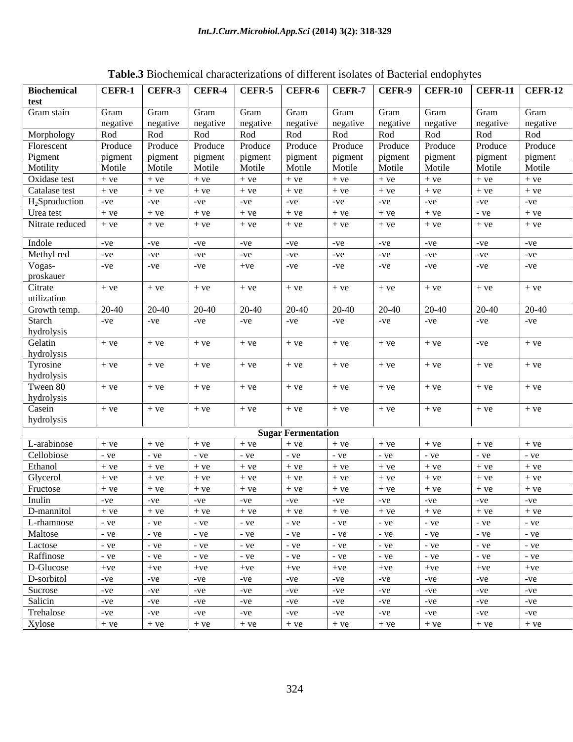|                        |          |              |                   |          |                           |          |          | $\blacksquare$                                                                             |          |          |
|------------------------|----------|--------------|-------------------|----------|---------------------------|----------|----------|--------------------------------------------------------------------------------------------|----------|----------|
| <b>Biochemical</b>     |          |              |                   |          |                           |          |          | CEFR-1   CEFR-3   CEFR-4   CEFR-5   CEFR-6   CEFR-7   CEFR-9   CEFR-10   CEFR-11   CEFR-12 |          |          |
| test                   |          |              |                   |          |                           |          |          |                                                                                            |          |          |
| Gram stain             | Gram     | Gram         | Gram              | Gram     | <b>Gram</b>               | Gram     | Gram     | <b>Gram</b>                                                                                | Gram     | Gram     |
|                        | negative |              | negative negative | negative | negative                  | negative | negative | negative                                                                                   | negative | negative |
| Morphology             | Rod      | Rod          | Rod               | Rod      | Rod                       | Rod      | Rod      | Rod                                                                                        | Rod      | Rod      |
| Florescent             | Produce  | Produce      | Produce           | Produce  | Produce                   | Produce  | Produce  | <b>Produce</b>                                                                             | Produce  | Produce  |
| Pigment                | pigment  | pigment      | pigment           | pigment  | pigment                   | pigment  | pigment  | pigment                                                                                    | pigment  | pigment  |
| Motility               | Motile   | Motile       | Motile            | Motile   | Motile                    | Motile   | Motile   | Motile                                                                                     | Motile   | Motile   |
| Oxidase test           | $+ve$    | $+ve$        | $+ve$             | $+ve$    | $+ve$                     | $+ve$    | $+ve$    | $+ve$                                                                                      | $+ve$    | $+ve$    |
| Catalase test          | $+ve$    | $+ve$        | $+ve$             | $+ve$    | $+ve$                     | $+ve$    | $+ve$    | $+ve$                                                                                      | $+ve$    | $+ve$    |
| $H_2$ Sproduction      | $-ve$    | -ve          | $-ve$             | $-ve$    | $-ve$                     | $-ve$    | -ve      | -ve                                                                                        | $-ve$    | $-ve$    |
| Urea test              | $+ve$    | $+ve$        | $+ve$             | $+ve$    | $+ve$                     | $+ve$    | $+ve$    | $+ve$                                                                                      | $-ve$    | $+ve$    |
| Nitrate reduced        | $+ve$    | $+ve$        | $+ve$             | $+ve$    | $+ve$                     | $+ve$    | $+ve$    | $+ve$                                                                                      | $+ve$    | $+ve$    |
| Indole                 | $-ve$    | $-ve$        | $-ve$             | $-ve$    | $-ve$                     | $-ve$    | $-ve$    | $-ve$                                                                                      | $-ve$    | $-ve$    |
| Methyl red             | $-ve$    | -ve          | $-ve$             | $-ve$    | $-ve$                     | $-ve$    | $-ve$    | -ve                                                                                        | $-ve$    | $-ve$    |
| Vogas-                 | $-ve$    | -ve          | $-ve$             | $+ve$    | -ve                       | $-ve$    | $-ve$    | $-ve$                                                                                      | $-ve$    | $-ve$    |
| proskauer              |          |              |                   |          |                           |          |          |                                                                                            |          |          |
| Citrate                | $+ve$    | $+ve$        | $+ve$             | $+ve$    | $+ve$                     | $+ve$    | $+ve$    | $+ve$                                                                                      | $+ve$    | $+ve$    |
| utilization            |          |              |                   |          |                           |          |          |                                                                                            |          |          |
| Growth temp.           | 20-40    | 20-40        | 20-40             | 20-40    | 20-40                     | 20-40    | 20-40    | 20-40                                                                                      | 20-40    | 20-40    |
| Starch                 |          |              |                   |          |                           |          |          |                                                                                            |          |          |
|                        | $-ve$    | $-ve$        | $-ve$             | $-ve$    | $-ve$                     | -ve      | $-ve$    | $-ve$                                                                                      | $-ve$    | $-ve$    |
| hydrolysis<br>Gelatin  | $+ve$    | $+ve$        | $+ve$             | $+ve$    |                           | $+ve$    | $+ve$    | $+ve$                                                                                      | $-ve$    | $+ve$    |
|                        |          |              |                   |          | $+ve$                     |          |          |                                                                                            |          |          |
| hydrolysis<br>Tyrosine |          |              |                   |          |                           |          |          |                                                                                            |          |          |
|                        | $+ve$    | $+ve$        | $+ve$             | $+ve$    | $+ve$                     | $+ve$    | $+ve$    | $+ve$                                                                                      | $+ve$    | $+ve$    |
| hydrolysis<br>Tween 80 |          |              |                   |          |                           |          |          |                                                                                            |          |          |
|                        | $+ve$    | $+ve$        | $+ve$             | $+ve$    | $+ve$                     | $+ve$    | $+ve$    | $+ve$                                                                                      | $+ve$    | $+ve$    |
| hydrolysis             |          |              |                   |          |                           |          |          |                                                                                            |          |          |
| Casein                 | $+ve$    | $+ve$        | $+ve$             | $+ve$    | $+ve$                     | $+ve$    | $+ve$    | $+ve$                                                                                      | $+ve$    | $+ve$    |
| hydrolysis             |          |              |                   |          |                           |          |          |                                                                                            |          |          |
|                        |          |              |                   |          | <b>Sugar Fermentation</b> |          |          |                                                                                            |          |          |
| L-arabinose            | $+ve$    | $+ve$        | $+ve$             | $+ve$    | $+ve$                     | $+ve$    | $+ve$    | $+ve$                                                                                      | $+ve$    | $+ve$    |
| Cellobiose             | - ve     | $-ve$        | $-ve$             | - ve     | $-ve$                     | - ve     | - ve     | - ve                                                                                       | $-ve$    | - ve     |
| Ethanol                | $+ve$    | $+ve$        | $+ve$             | $+ve$    | $+ve$                     | $+ve$    | $+ve$    | $+ve$                                                                                      | $+ve$    | $+ve$    |
| Glycerol               | $+ve$    | $+ve$        | $+ve$             | $+ve$    | $+ve$                     | $+ve$    | $+ve$    | $+ve$                                                                                      | $+ve$    | $+ve$    |
| Fructose               | $+ve$    | $+ve$        | $+ve$             | $+ve$    | $+ve$                     | $+ve$    | $+ve$    | $+ve$                                                                                      | $+ve$    | $+ve$    |
| Inulin                 | $-ve$    | $-ve$        | $-ve$             | $-ve$    | $-ve$                     | $-ve$    | $-ve$    | $-ve$                                                                                      | $-ve$    | $-ve$    |
| D-mannitol             | $+ve$    | $+ve$        | $+ve$             | $+ve$    | $+ve$                     | $+ve$    | $+ve$    | $+ve$                                                                                      | $+ve$    | $+ve$    |
| L-rhamnose             | $-ve$    | $-ve$        | $-ve$             | $-ve$    | $-ve$                     | $-ve$    | $-ve$    | $-ve$                                                                                      | $-ve$    | $-ve$    |
| Maltose                | $-ve$    | $\vert$ - ve | $-ve$             | $-ve$    | $-ve$                     | $-ve$    | $-ve$    | $-ve$                                                                                      | $-ve$    | $-ve$    |
| Lactose                | $-ve$    | $-ve$        | $-ve$             | $-ve$    | $-ve$                     | $-ve$    | $-ve$    | $-ve$                                                                                      | $-ve$    | $-ve$    |
| Raffinose              | $-ve$    | $-ve$        | $-ve$             | $-ve$    | $-ve$                     | $-ve$    | $-ve$    | $-ve$                                                                                      | $-ve$    | $-ve$    |
| D-Glucose              | $+ve$    | $+ve$        | $+ve$             | $+ve$    | $+ve$                     | $+ve$    | $+ve$    | $+ve$                                                                                      | $+ve$    | $+ve$    |
| D-sorbitol             | $-ve$    | $-ve$        | $-ve$             | $-ve$    | $-ve$                     | $-ve$    | $-ve$    | $-ve$                                                                                      | $-ve$    | $-ve$    |
| Sucrose                | $-ve$    | $-ve$        | $-ve$             | $-ve$    | $-ve$                     | $-ve$    | $-ve$    | $-ve$                                                                                      | $-ve$    | $-ve$    |
| Salicin                | $-ve$    | $-ve$        | $-ve$             | $-ve$    | $-ve$                     | $-ve$    | $-ve$    | $-ve$                                                                                      | $-ve$    | $-ve$    |
| Trehalose              | $-ve$    | $-ve$        | $-ve$             | $-ve$    | -ve                       | $-ve$    | $-ve$    | $-ve$                                                                                      | $-ve$    | $-ve$    |
| Xylose                 | $+ve$    | $+ve$        | $+ve$             | $+ve$    | $+ve$                     | $+ve$    | $+ve$    | $+ve$                                                                                      | $+ve$    | $+ve$    |
|                        |          |              |                   |          |                           |          |          |                                                                                            |          |          |

**Table.3** Biochemical characterizations of different isolates of Bacterial endophytes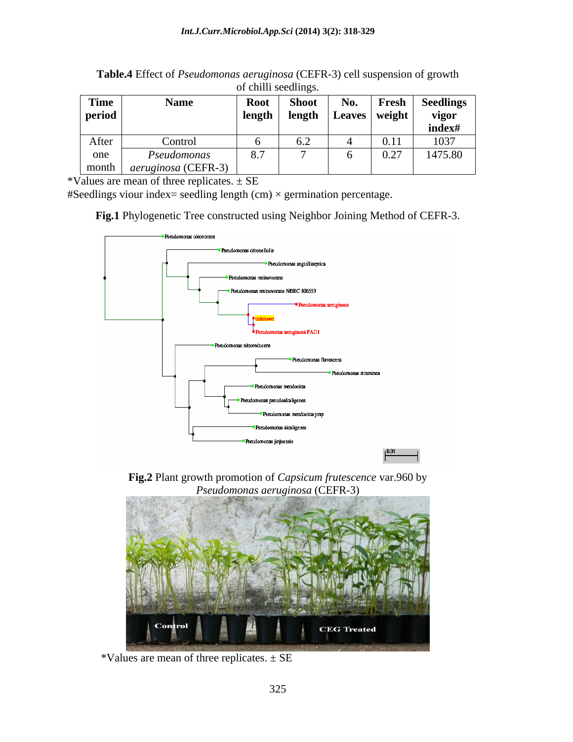| <b>Time</b> | <b>Name</b>                | <b>Root</b> | <b>Shoot</b>            | No. | Fresh           | <b>Seedlings</b> |
|-------------|----------------------------|-------------|-------------------------|-----|-----------------|------------------|
| period      |                            | length      | length                  |     | Leaves   weight | vigor            |
|             |                            |             |                         |     |                 | index#           |
| After       | Control                    |             | $\mathsf{u}.\mathsf{v}$ |     | 0.11            | 1037             |
| one         | Pseudomonas                | 8.7         |                         |     | 0.27<br>V.L     | 1475.80          |
| month       | <i>aeruginosa</i> (CEFR-3) |             |                         |     |                 |                  |

**Table.4** Effect of *Pseudomonas aeruginosa* (CEFR-3) cell suspension of growth of chilli seedlings.

\*Values are mean of three replicates.  $\pm$  SE

#Seedlings viour index= seedling length  $(cm) \times germination$  percentage.

**Fig.1** Phylogenetic Tree constructed using Neighbor Joining Method of CEFR-3.



**Fig.2** Plant growth promotion of *Capsicum frutescence* var.960 by *Pseudomonas aeruginosa* (CEFR-3)



\*Values are mean of three replicates.  $\pm$  SE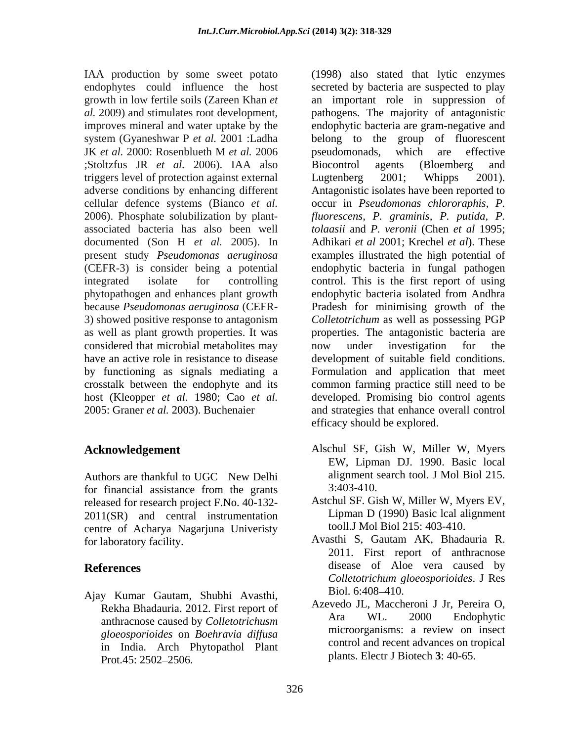IAA production by some sweet potato ;Stoltzfus JR *et al.* 2006). IAA also triggers level of protection against external Lugtenberg 2001; Whipps 2001). present study *Pseudomonas aeruginosa* considered that microbial metabolites may

for financial assistance from the grants 3:403-410. released for research project F.No. 40-132- 2011(SR) and central instrumentation centre of Acharya Nagarjuna Univeristy

Ajay Kumar Gautam, Shubhi Avasthi, *gloeosporioides* on *Boehravia dif usa* in India. Arch Phytopathol Plant Prot.45:  $2502 - 2506$ . plants. Electr J Blotech 5: 40-65.

endophytes could influence the host secreted by bacteria are suspected to play growth in low fertile soils (Zareen Khan *et*  an important role in suppression of *al.* 2009) and stimulates root development, pathogens. The majority of antagonistic improves mineral and water uptake by the endophytic bacteria are gram-negative and system (Gyaneshwar P *et al.* 2001 :Ladha belong to the group of fluorescent JK *et al.* 2000: Rosenblueth M *et al.* 2006 adverse conditions by enhancing different Antagonistic isolates have been reported to cellular defence systems (Bianco *et al.* occur in *Pseudomonas chlororaphis, P.* 2006). Phosphate solubilization by plant- *fluorescens, P. graminis, P. putida, P.* associated bacteria has also been well *tolaasii* and *P. veronii* (Chen *et al* 1995; documented (Son H *et al.* 2005). In Adhikari *et al* 2001; Krechel *et al*). These (CEFR-3) is consider being a potential endophytic bacteria in fungal pathogen integrated isolate for controlling control. This is the first report of using phytopathogen and enhances plant growth endophytic bacteria isolated from Andhra because *Pseudomonas aeruginosa* (CEFR- Pradesh for minimising growth of the 3) showed positive response to antagonism *Colletotrichum* as well as possessing PGP as well as plant growth properties. It was properties. The antagonistic bacteria are have an active role in resistance to disease development of suitable field conditions. by functioning as signals mediating a Formulation and application that meet crosstalk between the endophyte and its common farming practice still need to be host (Kleopper *et al.* 1980; Cao *etal.* developed. Promising bio control agents 2005: Graner *et al.* 2003). Buchenaier and strategies that enhance overall control (1998) also stated that lytic enzymes pseudomonads, which are effective Biocontrol agents (Bloemberg and Lugtenberg 2001; Whipps 2001). examples illustrated the high potential of now under investigation for the efficacy should be explored.

- **Acknowledgement**  Alschul SF, Gish W, Miller W, Myers Authors are thankful to UGC New Delhi alignment search tool. J Mol Biol 215. EW, Lipman DJ. 1990. Basic local alignment search tool. J Mol Biol 215. 3:403-410.
	- Astchul SF. Gish W, Miller W, Myers EV, Lipman D (1990) Basic lcal alignment tooll.J Mol Biol 215: 403-410.
- for laboratory facility. Avasthi S, Gautam AK, Bhadauria R. **References** disease of Aloe vera caused by 2011. First report of anthracnose *Colletotrichum gloeosporioides*. J Res Biol. 6:408–410.
	- Rekha Bhadauria. 2012. First report of Azevedo JL, Maccheroni J Jr, Pereira O,<br>anthracnose caused by Colletotrichusm Ara WL. 2000 Endophytic anthracnose caused by *Colletotrichusm* and ML. 2000 Endophytic and anthracnose caused by *Colletotrichusm* and *MTa* WL. 2000 Endophytic and *Registration* on *Registration and <i>Registration* and *Registration and <i>Re* Azevedo JL, Maccheroni J Jr, Pereira O, Ara WL. 2000 Endophytic microorganisms: a review on insect control and recent advances on tropical plants. Electr J Biotech **3**: 40-65.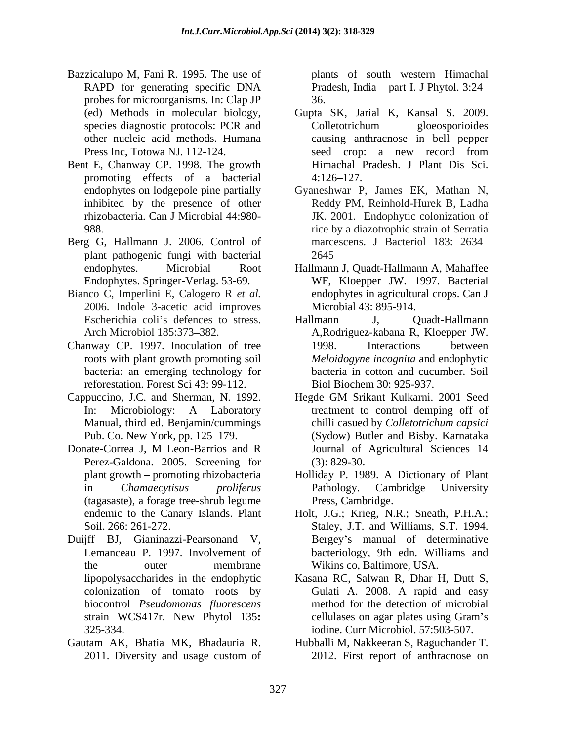- Bazzicalupo M, Fani R. 1995. The use of RAPD for generating specific DNA Pradesh, India – part I. J Phytol. 3:24– probes for microorganisms. In: Clap JP
- Bent E, Chanway CP. 1998. The growth promoting effects of a bacterial
- Berg G, Hallmann J. 2006. Control of plant pathogenic fungi with bacterial
- Bianco C, Imperlini E, Calogero R *et al.* 2006. Indole 3-acetic acid improves
- Chanway CP. 1997. Inoculation of tree 1998. Interactions between reforestation. Forest Sci 43: 99-112.
- Cappuccino, J.C. and Sherman, N. 1992. Hegde GM Srikant Kulkarni. 2001 Seed
- Donate-Correa J, M Leon-Barrios and R Perez-Galdona. 2005. Screening for (3): 829-30. (tagasaste), a forage tree-shrub legume
- Duijff BJ, Gianinazzi-Pearsonand V, Bergey s manual of determinative
- Gautam AK, Bhatia MK, Bhadauria R. Hubballi M, Nakkeeran S, Raguchander T.

plants of south western Himachal 36.

- (ed) Methods in molecular biology, Gupta SK, Jarial K, Kansal S. 2009. species diagnostic protocols: PCR and Colletotrichum gloeosporioides other nucleic acid methods. Humana causing anthracnose in bell pepper Press Inc, Totowa NJ. 112-124. Colletotrichum gloeosporioides seed crop: a new record from Himachal Pradesh. J Plant Dis Sci.  $4:126-127$ .
- endophytes on lodgepole pine partially Gyaneshwar P, James EK, Mathan N, inhibited by the presence of other Reddy PM, Reinhold-Hurek B, Ladha rhizobacteria. Can J Microbial 44:980- JK. 2001. Endophytic colonization of 988. rice by a diazotrophic strain of Serratia marcescens. J Bacteriol 183: 2634 2645
- endophytes. Microbial Root Hallmann J, Quadt-Hallmann A, Mahaffee Endophytes. Springer-Verlag. 53-69. WF, Kloepper JW. 1997. Bacterial endophytes in agricultural crops. Can J Microbial 43: 895-914.
- Escherichia coli's defences to stress. Hallmann J, Quadt-Hallmann Arch Microbiol 185:373–382. A,Rodriguez-kabana R, Kloepper JW. roots with plant growth promoting soil *Meloidogyne incognita* and endophytic bacteria: an emerging technology for bacteria in cotton and cucumber. Soil Hallmann J, Quadt-Hallmann 1998. Interactions between Biol Biochem 30: 925-937.
- In: Microbiology: A Laboratory treatment to control demping off of Manual, third ed. Benjamin/cummings chilli casued by *Colletotrichum capsici* Pub. Co. New York, pp. 125–179. (Sydow) Butler and Bisby. Karnataka Hegde GM Srikant Kulkarni. 2001 Seed chilli casued by *Colletotrichum capsici* Journal of Agricultural Sciences 14 (3): 829-30.
- plant growth promoting rhizobacteria Holliday P. 1989. A Dictionary of Plant in *Chamaecytisus proliferus* Pathology. Cambridge University Press, Cambridge.
- endemic to the Canary Islands. Plant Holt, J.G.; Krieg, N.R.; Sneath, P.H.A.; Soil. 266: 261-272. Staley, J.T. and Williams, S.T. 1994. Lemanceau P. 1997. Involvement of bacteriology, 9th edn. Williams and the outer membrane Wikins co, Baltimore, USA.
- lipopolysaccharides in the endophytic Kasana RC, Salwan R, Dhar H, Dutt S, colonization of tomato roots by Gulati A. 2008. A rapid and easy biocontrol *Pseudomonas fluorescens* method for the detection of microbial strain WCS417r. New Phytol 135**:**  325-334. iodine. Curr Microbiol. 57:503-507. cellulases on agar plates using Gram's
- 2011. Diversity and usage custom of 2012. First report of anthracnose on 2012. First report of anthracnose on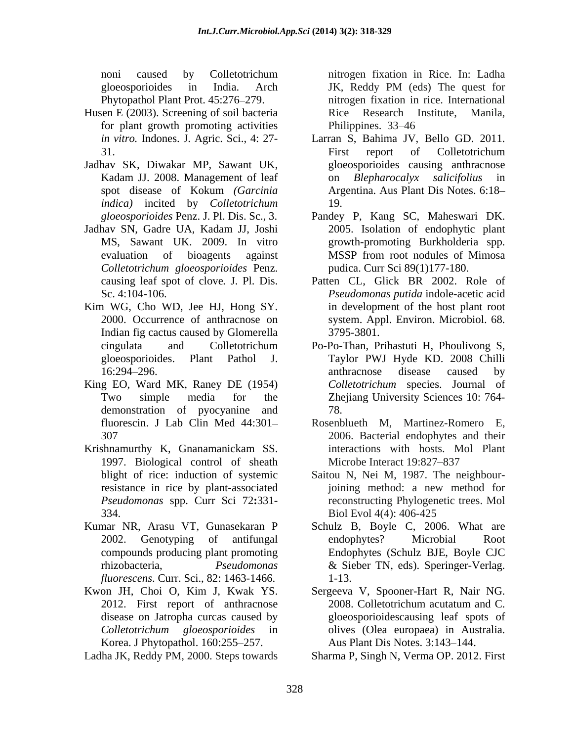gloeosporioides in India. Arch

- Husen E (2003). Screening of soil bacteria and Rice Research Institute, Manila, for plant growth promoting activities Philippines. 33–46
- Jadhav SK, Diwakar MP, Sawant UK, *indica)* incited by *Colletotrichum*
- Jadhav SN, Gadre UA, Kadam JJ, Joshi *Colletotrichum gloeosporioides* Penz.
- Kim WG, Cho WD, Jee HJ, Hong SY. Indian fig cactus caused by Glomerella 3795-3801.
- King EO, Ward MK, Raney DE (1954) demonstration of pyocyanine and 78.
- 1997. Biological control of sheath Microbe Interact 19:827–837 334. Biol Evol 4(4): 406-425
- Kumar NR, Arasu VT, Gunasekaran P *fluorescens*. Curr. Sci., 82: 1463-1466.
- Korea. J Phytopathol. 160:255–257.

Ladha JK, Reddy PM, 2000. Steps towards

noni caused by Colletotrichum Phytopathol Plant Prot. 45:276 279. nitrogen fixation in rice. International nitrogen fixation in Rice. In: Ladha JK, Reddy PM (eds) The quest for Rice Research Institute, Philippines. 33–46

- *in vitro.* Indones. J. Agric. Sci., 4: 27- Larran S, Bahima JV, Bello GD. 2011. 31. The state of the state of the collectrichum Kadam JJ. 2008. Management of leaf on *Blepharocalyx salicifolius* in spot disease of Kokum *(Garcinia*  First report of Colletotrichum gloeosporioides causing anthracnose on *Blepharocalyx salicifolius* in Argentina. Aus Plant Dis Notes. 6:18 19.
- *gloeosporioides* Penz. J. Pl. Dis. Sc., 3. Pandey P, Kang SC, Maheswari DK. MS, Sawant UK. 2009. In vitro growth-promoting Burkholderia spp. evaluation of bioagents against 2005. Isolation of endophytic plant MSSP from root nodules of Mimosa pudica. Curr Sci 89(1)177-180.
- causing leaf spot of clove*.* J. Pl. Dis. Patten CL, Glick BR 2002. Role of Sc. 4:104-106. *Pseudomonas putida* indole-acetic acid 2000. Occurrence of anthracnose on system. Appl. Environ. Microbiol. 68. in development of the host plant root 3795-3801.
- cingulata and Colletotrichum Po-Po-Than, Prihastuti H, Phoulivong S, gloeosporioides. Plant Pathol J. Taylor PWJ Hyde KD. 2008 Chilli 16:294–296. **anthrace** anthrace anthrace anthrace disease caused by Two simple media for the Zhejiang University Sciences 10: 764 anthracnose disease caused by *Colletotrichum* species. Journal of 78.
- fluorescin. J Lab Clin Med 44:301 Rosenblueth M, Martinez-Romero E, 307 2006. Bacterial endophytes and their Krishnamurthy K, Gnanamanickam SS. The interactions with hosts. Mol Plant interactions with hosts. Mol Plant Microbe Interact 19:827–837
	- blight of rice: induction of systemic Saitou N, Nei M, 1987. The neighbourresistance in rice by plant-associated joining method: a new method for *Pseudomonas* spp. Curr Sci 72**:**331- reconstructing Phylogenetic trees. Mol Biol Evol 4(4): 406-425
	- 2002. Genotyping of antifungal endophytes? Microbial Root compounds producing plant promoting Endophytes (Schulz BJE, Boyle CJC rhizobacteria, *Pseudomonas*  & Sieber TN, eds). Speringer-Verlag. Schulz B, Boyle C, 2006. What are endophytes? Microbial Root 1-13.
- Kwon JH, Choi O, Kim J, Kwak YS. Sergeeva V, Spooner-Hart R, Nair NG. 2012. First report of anthracnose 2008. Colletotrichum acutatum and C. disease on Jatropha curcas caused by gloeosporioidescausing leaf spots of *Colletotrichum gloeosporioides* in 2008. Colletotrichum acutatum and C. olives (Olea europaea) in Australia. Aus Plant Dis Notes. 3:143-144.
	- Sharma P, Singh N, Verma OP. 2012. First